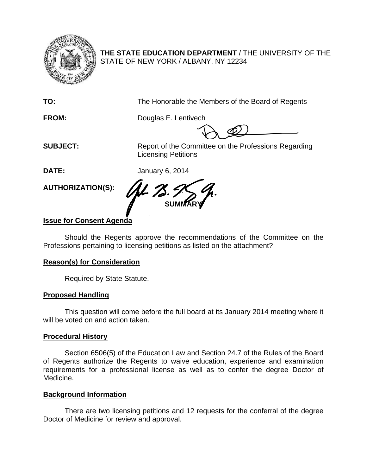

**THE STATE EDUCATION DEPARTMENT** / THE UNIVERSITY OF THE STATE OF NEW YORK / ALBANY, NY 12234

**TO:** The Honorable the Members of the Board of Regents

**FROM:** Douglas E. Lentivech

**SUBJECT:** Report of the Committee on the Professions Regarding Licensing Petitions

**DATE:** January 6, 2014

**AUTHORIZATION(S):** 

**SUMMARY** 

# **Issue for Consent Agenda**

Should the Regents approve the recommendations of the Committee on the Professions pertaining to licensing petitions as listed on the attachment?

# **Reason(s) for Consideration**

Required by State Statute.

# **Proposed Handling**

This question will come before the full board at its January 2014 meeting where it will be voted on and action taken.

# **Procedural History**

Section 6506(5) of the Education Law and Section 24.7 of the Rules of the Board of Regents authorize the Regents to waive education, experience and examination requirements for a professional license as well as to confer the degree Doctor of Medicine.

# **Background Information**

There are two licensing petitions and 12 requests for the conferral of the degree Doctor of Medicine for review and approval.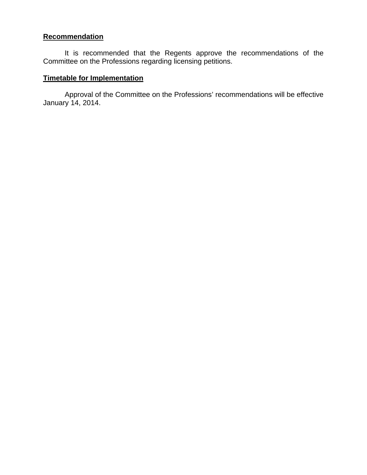# **Recommendation**

It is recommended that the Regents approve the recommendations of the Committee on the Professions regarding licensing petitions.

# **Timetable for Implementation**

Approval of the Committee on the Professions' recommendations will be effective January 14, 2014.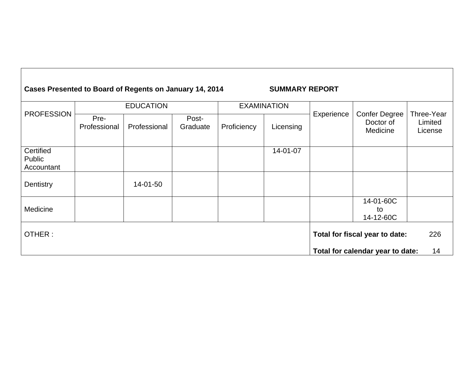# Cases Presented to Board of Regents on January 14, 2014 **SUMMARY REPORT**

| <b>EXAMINATION</b> | Experience                           | <b>Confer Degree</b> |                                                                    |
|--------------------|--------------------------------------|----------------------|--------------------------------------------------------------------|
|                    |                                      |                      |                                                                    |
|                    |                                      |                      | Three-Year                                                         |
|                    |                                      | Doctor of            | Limited                                                            |
|                    |                                      | Medicine             | License                                                            |
|                    |                                      |                      |                                                                    |
|                    |                                      |                      |                                                                    |
|                    |                                      |                      |                                                                    |
|                    |                                      |                      |                                                                    |
|                    |                                      |                      |                                                                    |
|                    |                                      |                      |                                                                    |
|                    |                                      |                      |                                                                    |
|                    |                                      |                      |                                                                    |
|                    |                                      | 14-01-60C            |                                                                    |
|                    |                                      | to                   |                                                                    |
|                    |                                      | 14-12-60C            |                                                                    |
|                    |                                      |                      |                                                                    |
|                    |                                      |                      | 226                                                                |
|                    |                                      |                      |                                                                    |
|                    |                                      |                      | 14                                                                 |
|                    | Proficiency<br>Licensing<br>14-01-07 |                      | Total for fiscal year to date:<br>Total for calendar year to date: |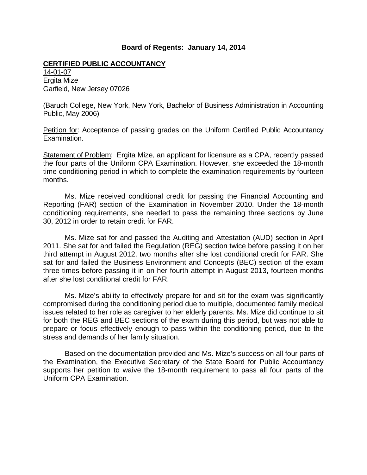### **Board of Regents: January 14, 2014**

### **CERTIFIED PUBLIC ACCOUNTANCY**

14-01-07 Ergita Mize Garfield, New Jersey 07026

(Baruch College, New York, New York, Bachelor of Business Administration in Accounting Public, May 2006)

Petition for: Acceptance of passing grades on the Uniform Certified Public Accountancy Examination.

Statement of Problem: Ergita Mize, an applicant for licensure as a CPA, recently passed the four parts of the Uniform CPA Examination. However, she exceeded the 18-month time conditioning period in which to complete the examination requirements by fourteen months.

 Ms. Mize received conditional credit for passing the Financial Accounting and Reporting (FAR) section of the Examination in November 2010. Under the 18-month conditioning requirements, she needed to pass the remaining three sections by June 30, 2012 in order to retain credit for FAR.

 Ms. Mize sat for and passed the Auditing and Attestation (AUD) section in April 2011. She sat for and failed the Regulation (REG) section twice before passing it on her third attempt in August 2012, two months after she lost conditional credit for FAR. She sat for and failed the Business Environment and Concepts (BEC) section of the exam three times before passing it in on her fourth attempt in August 2013, fourteen months after she lost conditional credit for FAR.

 Ms. Mize's ability to effectively prepare for and sit for the exam was significantly compromised during the conditioning period due to multiple, documented family medical issues related to her role as caregiver to her elderly parents. Ms. Mize did continue to sit for both the REG and BEC sections of the exam during this period, but was not able to prepare or focus effectively enough to pass within the conditioning period, due to the stress and demands of her family situation.

 Based on the documentation provided and Ms. Mize's success on all four parts of the Examination, the Executive Secretary of the State Board for Public Accountancy supports her petition to waive the 18-month requirement to pass all four parts of the Uniform CPA Examination.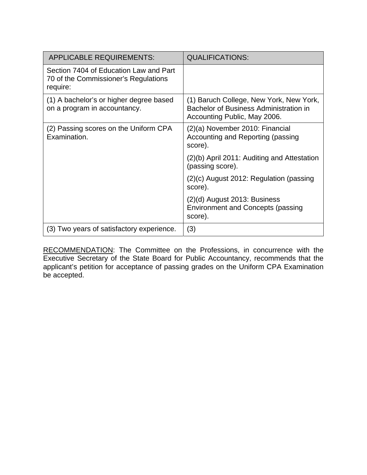| <b>APPLICABLE REQUIREMENTS:</b>                                                            | <b>QUALIFICATIONS:</b>                                                                                            |
|--------------------------------------------------------------------------------------------|-------------------------------------------------------------------------------------------------------------------|
| Section 7404 of Education Law and Part<br>70 of the Commissioner's Regulations<br>require: |                                                                                                                   |
| (1) A bachelor's or higher degree based<br>on a program in accountancy.                    | (1) Baruch College, New York, New York,<br>Bachelor of Business Administration in<br>Accounting Public, May 2006. |
| (2) Passing scores on the Uniform CPA<br>Examination.                                      | (2)(a) November 2010: Financial<br>Accounting and Reporting (passing<br>score).                                   |
|                                                                                            | (2)(b) April 2011: Auditing and Attestation<br>(passing score).                                                   |
|                                                                                            | $(2)(c)$ August 2012: Regulation (passing<br>score).                                                              |
|                                                                                            | $(2)(d)$ August 2013: Business<br><b>Environment and Concepts (passing</b><br>score).                             |
| (3) Two years of satisfactory experience.                                                  | (3)                                                                                                               |

RECOMMENDATION: The Committee on the Professions, in concurrence with the Executive Secretary of the State Board for Public Accountancy, recommends that the applicant's petition for acceptance of passing grades on the Uniform CPA Examination be accepted.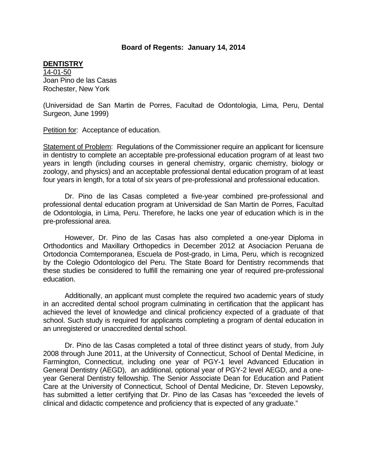### **Board of Regents: January 14, 2014**

### **DENTISTRY**

14-01-50 Joan Pino de las Casas Rochester, New York

(Universidad de San Martin de Porres, Facultad de Odontologia, Lima, Peru, Dental Surgeon, June 1999)

Petition for: Acceptance of education.

Statement of Problem: Regulations of the Commissioner require an applicant for licensure in dentistry to complete an acceptable pre-professional education program of at least two years in length (including courses in general chemistry, organic chemistry, biology or zoology, and physics) and an acceptable professional dental education program of at least four years in length, for a total of six years of pre-professional and professional education.

 Dr. Pino de las Casas completed a five-year combined pre-professional and professional dental education program at Universidad de San Martin de Porres, Facultad de Odontologia, in Lima, Peru. Therefore, he lacks one year of education which is in the pre-professional area.

However, Dr. Pino de las Casas has also completed a one-year Diploma in Orthodontics and Maxillary Orthopedics in December 2012 at Asociacion Peruana de Ortodoncia Comtemporanea, Escuela de Post-grado, in Lima, Peru, which is recognized by the Colegio Odontologico del Peru. The State Board for Dentistry recommends that these studies be considered to fulfill the remaining one year of required pre-professional education.

 Additionally, an applicant must complete the required two academic years of study in an accredited dental school program culminating in certification that the applicant has achieved the level of knowledge and clinical proficiency expected of a graduate of that school. Such study is required for applicants completing a program of dental education in an unregistered or unaccredited dental school.

Dr. Pino de las Casas completed a total of three distinct years of study, from July 2008 through June 2011, at the University of Connecticut, School of Dental Medicine, in Farmington, Connecticut, including one year of PGY-1 level Advanced Education in General Dentistry (AEGD), an additional, optional year of PGY-2 level AEGD, and a oneyear General Dentistry fellowship. The Senior Associate Dean for Education and Patient Care at the University of Connecticut, School of Dental Medicine, Dr. Steven Lepowsky, has submitted a letter certifying that Dr. Pino de las Casas has "exceeded the levels of clinical and didactic competence and proficiency that is expected of any graduate."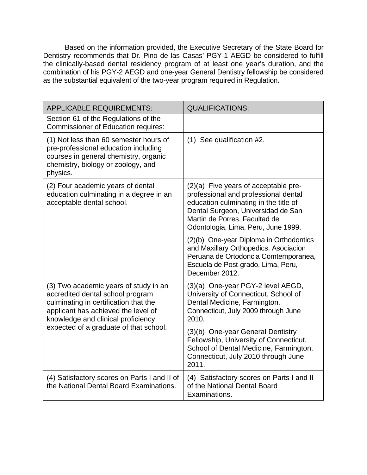Based on the information provided, the Executive Secretary of the State Board for Dentistry recommends that Dr. Pino de las Casas' PGY-1 AEGD be considered to fulfill the clinically-based dental residency program of at least one year's duration, and the combination of his PGY-2 AEGD and one-year General Dentistry fellowship be considered as the substantial equivalent of the two-year program required in Regulation.

| <b>APPLICABLE REQUIREMENTS:</b>                                                                                                                                                                                                           | <b>QUALIFICATIONS:</b>                                                                                                                                                                                                                |
|-------------------------------------------------------------------------------------------------------------------------------------------------------------------------------------------------------------------------------------------|---------------------------------------------------------------------------------------------------------------------------------------------------------------------------------------------------------------------------------------|
| Section 61 of the Regulations of the<br><b>Commissioner of Education requires:</b>                                                                                                                                                        |                                                                                                                                                                                                                                       |
| (1) Not less than 60 semester hours of<br>pre-professional education including<br>courses in general chemistry, organic<br>chemistry, biology or zoology, and<br>physics.                                                                 | $(1)$ See qualification #2.                                                                                                                                                                                                           |
| (2) Four academic years of dental<br>education culminating in a degree in an<br>acceptable dental school.                                                                                                                                 | $(2)(a)$ Five years of acceptable pre-<br>professional and professional dental<br>education culminating in the title of<br>Dental Surgeon, Universidad de San<br>Martin de Porres, Facultad de<br>Odontologia, Lima, Peru, June 1999. |
|                                                                                                                                                                                                                                           | (2)(b) One-year Diploma in Orthodontics<br>and Maxillary Orthopedics, Asociacion<br>Peruana de Ortodoncia Comtemporanea,<br>Escuela de Post-grado, Lima, Peru,<br>December 2012.                                                      |
| (3) Two academic years of study in an<br>accredited dental school program<br>culminating in certification that the<br>applicant has achieved the level of<br>knowledge and clinical proficiency<br>expected of a graduate of that school. | (3)(a) One-year PGY-2 level AEGD,<br>University of Connecticut, School of<br>Dental Medicine, Farmington,<br>Connecticut, July 2009 through June<br>2010.                                                                             |
|                                                                                                                                                                                                                                           | (3)(b) One-year General Dentistry<br>Fellowship, University of Connecticut,<br>School of Dental Medicine, Farmington,<br>Connecticut, July 2010 through June<br>2011.                                                                 |
| (4) Satisfactory scores on Parts I and II of<br>the National Dental Board Examinations.                                                                                                                                                   | (4) Satisfactory scores on Parts I and II<br>of the National Dental Board<br>Examinations.                                                                                                                                            |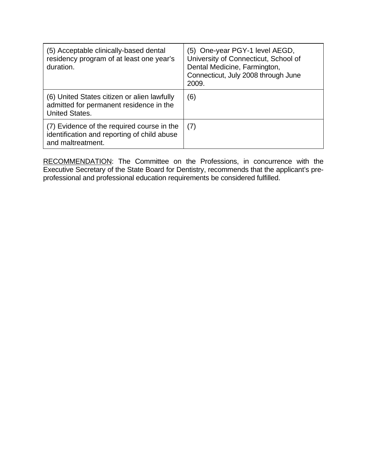| (5) Acceptable clinically-based dental<br>residency program of at least one year's<br>duration.                 | (5) One-year PGY-1 level AEGD,<br>University of Connecticut, School of<br>Dental Medicine, Farmington,<br>Connecticut, July 2008 through June<br>2009. |
|-----------------------------------------------------------------------------------------------------------------|--------------------------------------------------------------------------------------------------------------------------------------------------------|
| (6) United States citizen or alien lawfully<br>admitted for permanent residence in the<br><b>United States.</b> | (6)                                                                                                                                                    |
| (7) Evidence of the required course in the<br>identification and reporting of child abuse<br>and maltreatment.  | (7)                                                                                                                                                    |

RECOMMENDATION: The Committee on the Professions, in concurrence with the Executive Secretary of the State Board for Dentistry, recommends that the applicant's preprofessional and professional education requirements be considered fulfilled.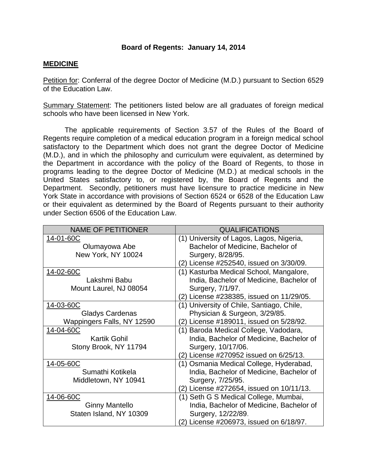### **Board of Regents: January 14, 2014**

### **MEDICINE**

Petition for: Conferral of the degree Doctor of Medicine (M.D.) pursuant to Section 6529 of the Education Law.

Summary Statement: The petitioners listed below are all graduates of foreign medical schools who have been licensed in New York.

 The applicable requirements of Section 3.57 of the Rules of the Board of Regents require completion of a medical education program in a foreign medical school satisfactory to the Department which does not grant the degree Doctor of Medicine (M.D.), and in which the philosophy and curriculum were equivalent, as determined by the Department in accordance with the policy of the Board of Regents, to those in programs leading to the degree Doctor of Medicine (M.D.) at medical schools in the United States satisfactory to, or registered by, the Board of Regents and the Department. Secondly, petitioners must have licensure to practice medicine in New York State in accordance with provisions of Section 6524 or 6528 of the Education Law or their equivalent as determined by the Board of Regents pursuant to their authority under Section 6506 of the Education Law.

| <b>NAME OF PETITIONER</b>  | <b>QUALIFICATIONS</b>                     |
|----------------------------|-------------------------------------------|
| 14-01-60C                  | (1) University of Lagos, Lagos, Nigeria,  |
| Olumayowa Abe              | Bachelor of Medicine, Bachelor of         |
| New York, NY 10024         | Surgery, 8/28/95.                         |
|                            | (2) License #252540, issued on 3/30/09.   |
| 14-02-60C                  | (1) Kasturba Medical School, Mangalore,   |
| Lakshmi Babu               | India, Bachelor of Medicine, Bachelor of  |
| Mount Laurel, NJ 08054     | Surgery, 7/1/97.                          |
|                            | (2) License #238385, issued on 11/29/05.  |
| 14-03-60C                  | (1) University of Chile, Santiago, Chile, |
| <b>Gladys Cardenas</b>     | Physician & Surgeon, 3/29/85.             |
| Wappingers Falls, NY 12590 | (2) License #189011, issued on 5/28/92.   |
| 14-04-60C                  | (1) Baroda Medical College, Vadodara,     |
| <b>Kartik Gohil</b>        | India, Bachelor of Medicine, Bachelor of  |
| Stony Brook, NY 11794      | Surgery, 10/17/06.                        |
|                            | (2) License #270952 issued on 6/25/13.    |
| 14-05-60C                  | (1) Osmania Medical College, Hyderabad,   |
| Sumathi Kotikela           | India, Bachelor of Medicine, Bachelor of  |
| Middletown, NY 10941       | Surgery, 7/25/95.                         |
|                            | (2) License #272654, issued on 10/11/13.  |
| 14-06-60C                  | (1) Seth G S Medical College, Mumbai,     |
| <b>Ginny Mantello</b>      | India, Bachelor of Medicine, Bachelor of  |
| Staten Island, NY 10309    | Surgery, 12/22/89.                        |
|                            | License #206973, issued on 6/18/97.       |